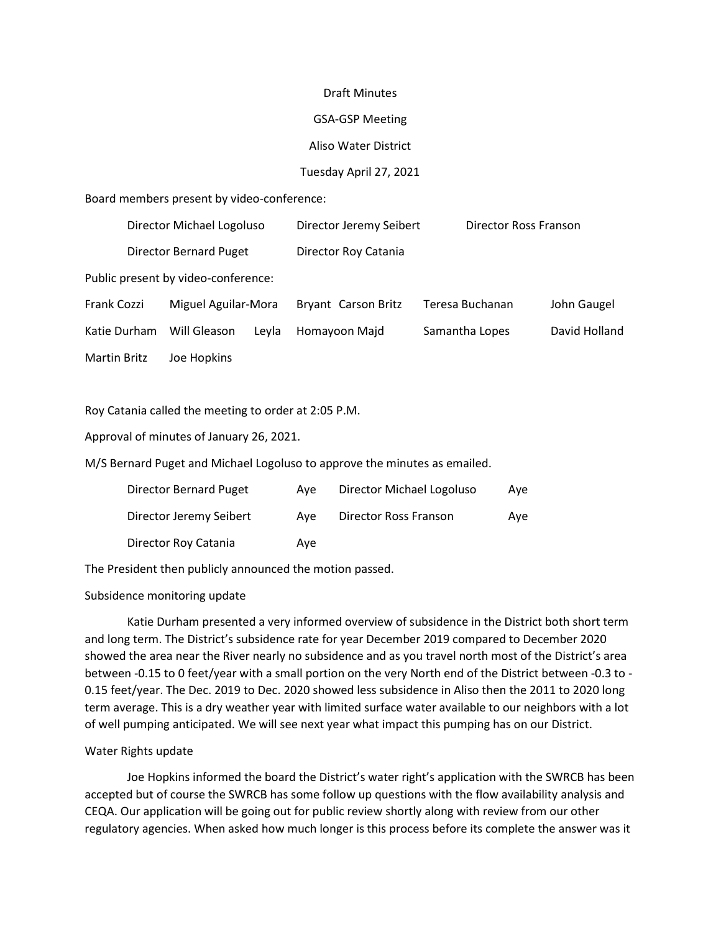#### Draft Minutes

### GSA-GSP Meeting

# Aliso Water District

# Tuesday April 27, 2021

Board members present by video-conference:

|                                     | Director Michael Logoluso |                     | Director Jeremy Seibert |                      | Director Ross Franson |               |  |  |  |
|-------------------------------------|---------------------------|---------------------|-------------------------|----------------------|-----------------------|---------------|--|--|--|
|                                     | Director Bernard Puget    |                     |                         | Director Roy Catania |                       |               |  |  |  |
| Public present by video-conference: |                           |                     |                         |                      |                       |               |  |  |  |
| Frank Cozzi                         |                           | Miguel Aguilar-Mora |                         | Bryant Carson Britz  | Teresa Buchanan       | John Gaugel   |  |  |  |
| Katie Durham                        |                           | Will Gleason        | Leyla                   | Homayoon Majd        | Samantha Lopes        | David Holland |  |  |  |
| <b>Martin Britz</b>                 |                           | Joe Hopkins         |                         |                      |                       |               |  |  |  |

Roy Catania called the meeting to order at 2:05 P.M.

Approval of minutes of January 26, 2021.

M/S Bernard Puget and Michael Logoluso to approve the minutes as emailed.

| Director Bernard Puget  | Ave | Director Michael Logoluso | Ave |
|-------------------------|-----|---------------------------|-----|
| Director Jeremy Seibert | Ave | Director Ross Franson     | Ave |
| Director Roy Catania    | Ave |                           |     |

The President then publicly announced the motion passed.

# Subsidence monitoring update

Katie Durham presented a very informed overview of subsidence in the District both short term and long term. The District's subsidence rate for year December 2019 compared to December 2020 showed the area near the River nearly no subsidence and as you travel north most of the District's area between -0.15 to 0 feet/year with a small portion on the very North end of the District between -0.3 to - 0.15 feet/year. The Dec. 2019 to Dec. 2020 showed less subsidence in Aliso then the 2011 to 2020 long term average. This is a dry weather year with limited surface water available to our neighbors with a lot of well pumping anticipated. We will see next year what impact this pumping has on our District.

# Water Rights update

Joe Hopkins informed the board the District's water right's application with the SWRCB has been accepted but of course the SWRCB has some follow up questions with the flow availability analysis and CEQA. Our application will be going out for public review shortly along with review from our other regulatory agencies. When asked how much longer is this process before its complete the answer was it